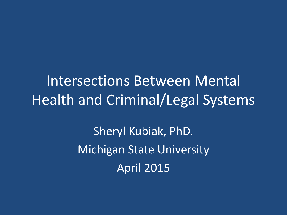Intersections Between Mental Health and Criminal/Legal Systems

> Sheryl Kubiak, PhD. Michigan State University April 2015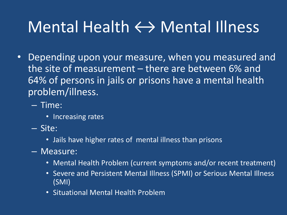## Mental Health  $\leftrightarrow$  Mental Illness

- Depending upon your measure, when you measured and the site of measurement – there are between 6% and 64% of persons in jails or prisons have a mental health problem/illness.
	- Time:
		- Increasing rates
	- Site:
		- Jails have higher rates of mental illness than prisons
	- Measure:
		- Mental Health Problem (current symptoms and/or recent treatment)
		- Severe and Persistent Mental Illness (SPMI) or Serious Mental Illness (SMI)
		- Situational Mental Health Problem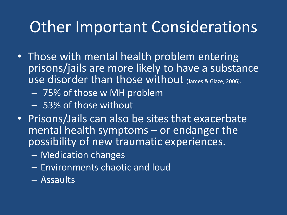## Other Important Considerations

- Those with mental health problem entering prisons/jails are more likely to have a substance use disorder than those without (James & Glaze, 2006).
	- 75% of those w MH problem
	- 53% of those without
- Prisons/Jails can also be sites that exacerbate mental health symptoms – or endanger the possibility of new traumatic experiences.
	- Medication changes
	- Environments chaotic and loud
	- Assaults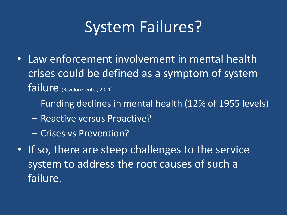## System Failures?

- Law enforcement involvement in mental health crises could be defined as a symptom of system failure (Bazelon Center, 2011)
	- Funding declines in mental health (12% of 1955 levels)
	- Reactive versus Proactive?
	- Crises vs Prevention?
- If so, there are steep challenges to the service system to address the root causes of such a failure.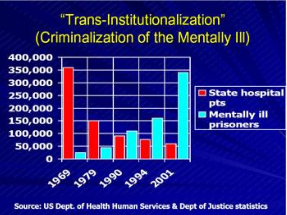### "Trans-Institutionalization" (Criminalization of the Mentally III)



Source: US Dept. of Health Human Services & Dept of Justice statistics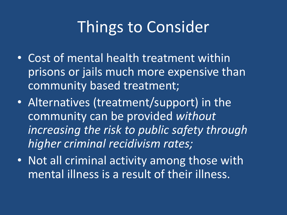## Things to Consider

- Cost of mental health treatment within prisons or jails much more expensive than community based treatment;
- Alternatives (treatment/support) in the community can be provided *without increasing the risk to public safety through higher criminal recidivism rates;*
- Not all criminal activity among those with mental illness is a result of their illness.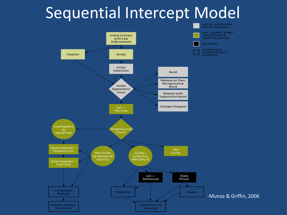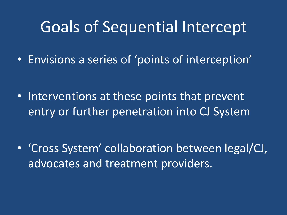#### Goals of Sequential Intercept

• Envisions a series of 'points of interception'

• Interventions at these points that prevent entry or further penetration into CJ System

• 'Cross System' collaboration between legal/CJ, advocates and treatment providers.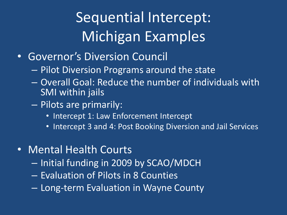## Sequential Intercept: Michigan Examples

- Governor's Diversion Council
	- Pilot Diversion Programs around the state
	- Overall Goal: Reduce the number of individuals with SMI within jails
	- Pilots are primarily:
		- Intercept 1: Law Enforcement Intercept
		- Intercept 3 and 4: Post Booking Diversion and Jail Services
- Mental Health Courts
	- Initial funding in 2009 by SCAO/MDCH
	- Evaluation of Pilots in 8 Counties
	- Long-term Evaluation in Wayne County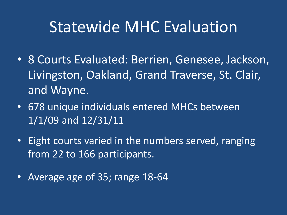### Statewide MHC Evaluation

- 8 Courts Evaluated: Berrien, Genesee, Jackson, Livingston, Oakland, Grand Traverse, St. Clair, and Wayne.
- 678 unique individuals entered MHCs between 1/1/09 and 12/31/11
- Eight courts varied in the numbers served, ranging from 22 to 166 participants.
- Average age of 35; range 18-64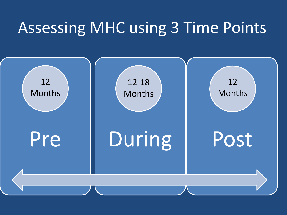## Assessing MHC using 3 Time Points

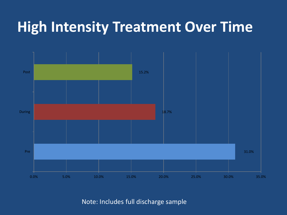#### **High Intensity Treatment Over Time**



Note: Includes full discharge sample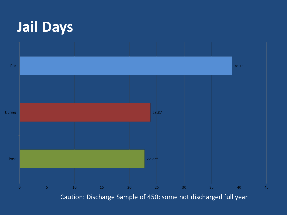

Caution: Discharge Sample of 450; some not discharged full year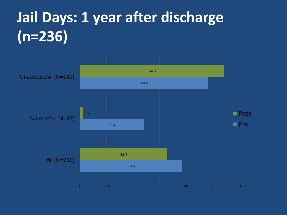## **Jail Days: 1 year after discharge (n=236)**

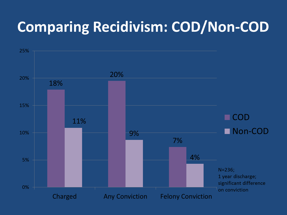### **Comparing Recidivism: COD/Non-COD**

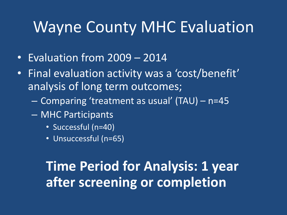### Wayne County MHC Evaluation

- Evaluation from 2009 2014
- Final evaluation activity was a 'cost/benefit' analysis of long term outcomes;
	- Comparing 'treatment as usual' (TAU) n=45
	- MHC Participants
		- Successful (n=40)
		- Unsuccessful (n=65)

#### **Time Period for Analysis: 1 year after screening or completion**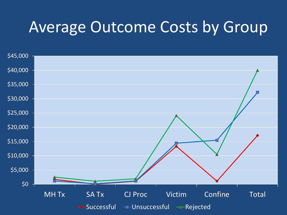### Average Outcome Costs by Group

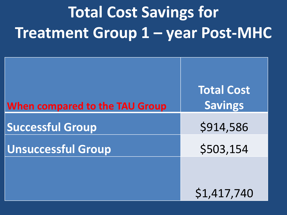# **Total Cost Savings for Treatment Group 1 – year Post-MHC**

| When compared to the TAU Group | <b>Total Cost</b><br><b>Savings</b> |
|--------------------------------|-------------------------------------|
| <b>Successful Group</b>        | \$914,586                           |
| <b>Unsuccessful Group</b>      | \$503,154                           |
|                                |                                     |
|                                | \$1,417,740                         |